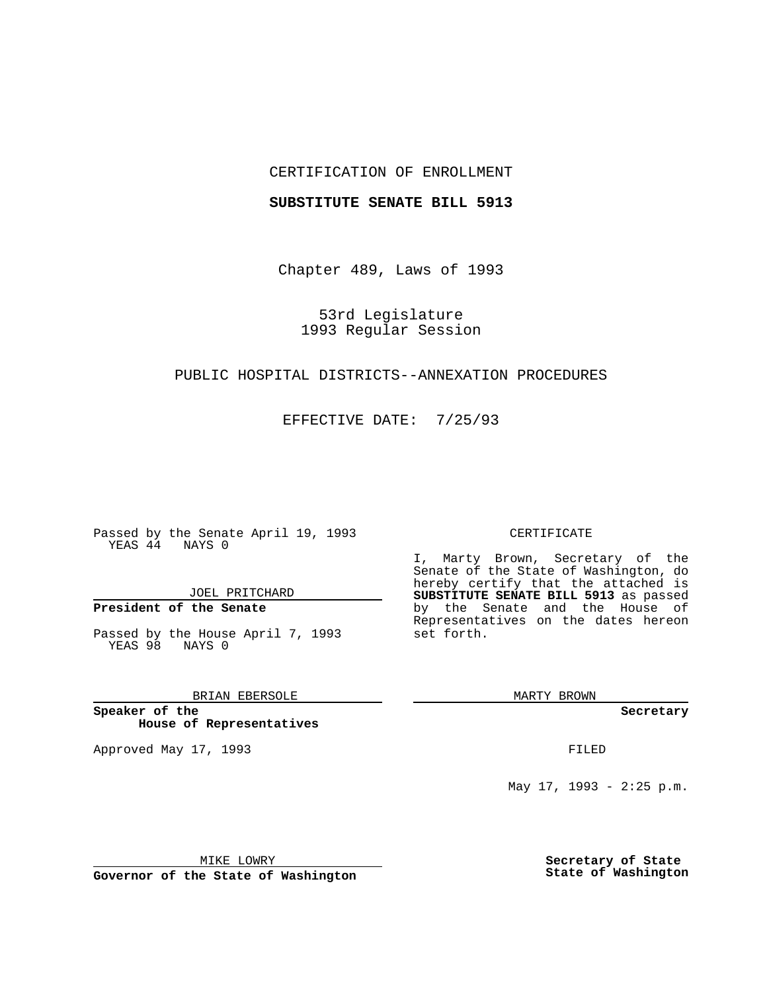## CERTIFICATION OF ENROLLMENT

#### **SUBSTITUTE SENATE BILL 5913**

Chapter 489, Laws of 1993

53rd Legislature 1993 Regular Session

## PUBLIC HOSPITAL DISTRICTS--ANNEXATION PROCEDURES

EFFECTIVE DATE: 7/25/93

Passed by the Senate April 19, 1993 YEAS 44 NAYS 0

JOEL PRITCHARD

# **President of the Senate**

Passed by the House April 7, 1993 YEAS 98 NAYS 0

## BRIAN EBERSOLE

**Speaker of the House of Representatives**

Approved May 17, 1993 **FILED** 

#### CERTIFICATE

I, Marty Brown, Secretary of the Senate of the State of Washington, do hereby certify that the attached is **SUBSTITUTE SENATE BILL 5913** as passed by the Senate and the House of Representatives on the dates hereon set forth.

MARTY BROWN

**Secretary**

May 17, 1993 - 2:25 p.m.

MIKE LOWRY

**Governor of the State of Washington**

**Secretary of State State of Washington**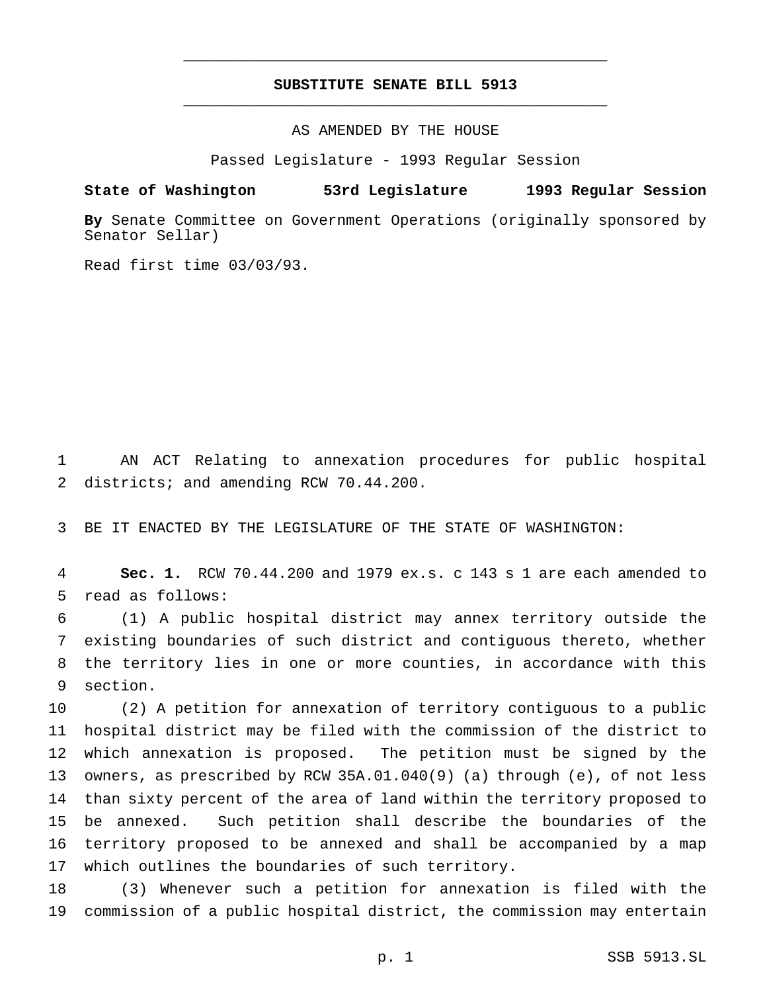# **SUBSTITUTE SENATE BILL 5913** \_\_\_\_\_\_\_\_\_\_\_\_\_\_\_\_\_\_\_\_\_\_\_\_\_\_\_\_\_\_\_\_\_\_\_\_\_\_\_\_\_\_\_\_\_\_\_

\_\_\_\_\_\_\_\_\_\_\_\_\_\_\_\_\_\_\_\_\_\_\_\_\_\_\_\_\_\_\_\_\_\_\_\_\_\_\_\_\_\_\_\_\_\_\_

AS AMENDED BY THE HOUSE

Passed Legislature - 1993 Regular Session

#### **State of Washington 53rd Legislature 1993 Regular Session**

**By** Senate Committee on Government Operations (originally sponsored by Senator Sellar)

Read first time 03/03/93.

 AN ACT Relating to annexation procedures for public hospital districts; and amending RCW 70.44.200.

BE IT ENACTED BY THE LEGISLATURE OF THE STATE OF WASHINGTON:

 **Sec. 1.** RCW 70.44.200 and 1979 ex.s. c 143 s 1 are each amended to read as follows:

 (1) A public hospital district may annex territory outside the existing boundaries of such district and contiguous thereto, whether the territory lies in one or more counties, in accordance with this section.

 (2) A petition for annexation of territory contiguous to a public hospital district may be filed with the commission of the district to which annexation is proposed. The petition must be signed by the owners, as prescribed by RCW 35A.01.040(9) (a) through (e), of not less than sixty percent of the area of land within the territory proposed to be annexed. Such petition shall describe the boundaries of the territory proposed to be annexed and shall be accompanied by a map which outlines the boundaries of such territory.

 (3) Whenever such a petition for annexation is filed with the commission of a public hospital district, the commission may entertain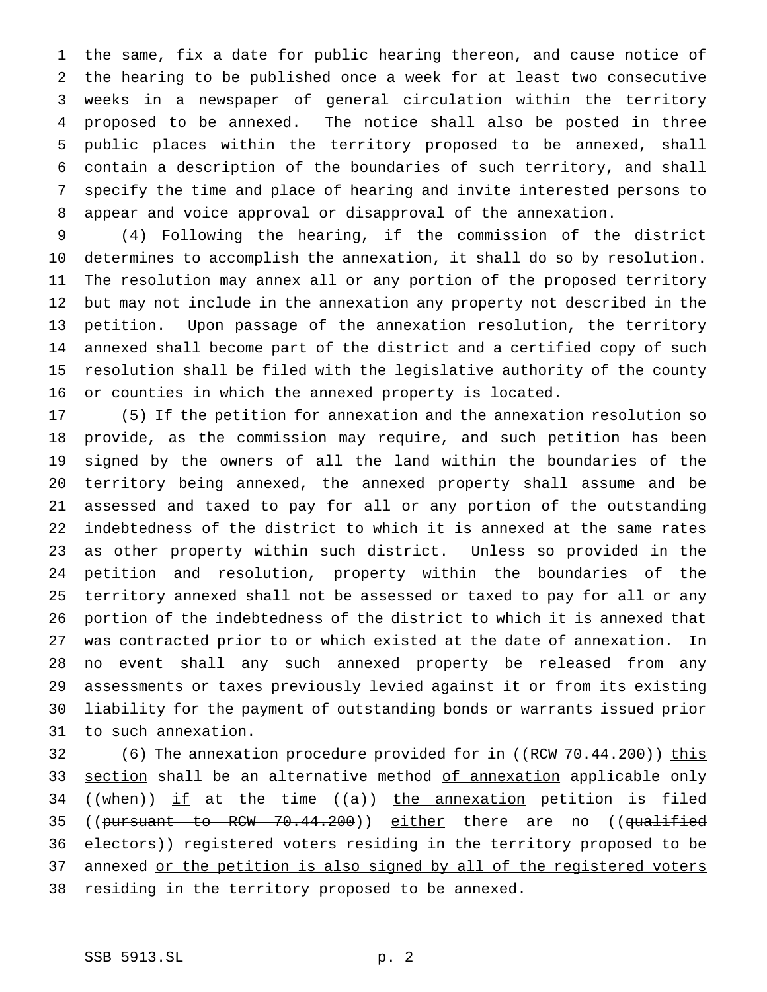the same, fix a date for public hearing thereon, and cause notice of the hearing to be published once a week for at least two consecutive weeks in a newspaper of general circulation within the territory proposed to be annexed. The notice shall also be posted in three public places within the territory proposed to be annexed, shall contain a description of the boundaries of such territory, and shall specify the time and place of hearing and invite interested persons to appear and voice approval or disapproval of the annexation.

 (4) Following the hearing, if the commission of the district determines to accomplish the annexation, it shall do so by resolution. The resolution may annex all or any portion of the proposed territory but may not include in the annexation any property not described in the petition. Upon passage of the annexation resolution, the territory annexed shall become part of the district and a certified copy of such resolution shall be filed with the legislative authority of the county or counties in which the annexed property is located.

 (5) If the petition for annexation and the annexation resolution so provide, as the commission may require, and such petition has been signed by the owners of all the land within the boundaries of the territory being annexed, the annexed property shall assume and be assessed and taxed to pay for all or any portion of the outstanding indebtedness of the district to which it is annexed at the same rates as other property within such district. Unless so provided in the petition and resolution, property within the boundaries of the territory annexed shall not be assessed or taxed to pay for all or any portion of the indebtedness of the district to which it is annexed that was contracted prior to or which existed at the date of annexation. In no event shall any such annexed property be released from any assessments or taxes previously levied against it or from its existing liability for the payment of outstanding bonds or warrants issued prior to such annexation.

32 (6) The annexation procedure provided for in ((R<del>CW 70.44.200</del>)) this 33 section shall be an alternative method of annexation applicable only 34 ((when)) if at the time ( $(a)$ ) the annexation petition is filed 35 ((pursuant to RCW 70.44.200)) either there are no ((qualified 36 electors)) registered voters residing in the territory proposed to be 37 annexed or the petition is also signed by all of the registered voters 38 residing in the territory proposed to be annexed.